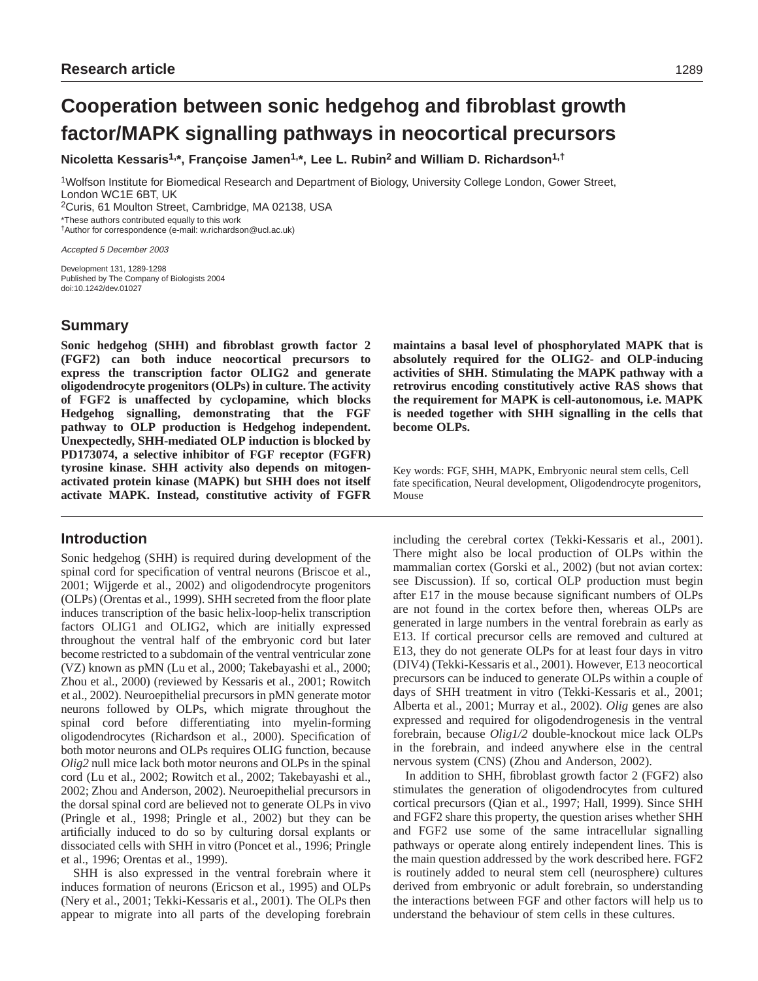# **Cooperation between sonic hedgehog and fibroblast growth factor/MAPK signalling pathways in neocortical precursors**

**Nicoletta Kessaris1,\*, Françoise Jamen1,\*, Lee L. Rubin2 and William D. Richardson1,†**

1Wolfson Institute for Biomedical Research and Department of Biology, University College London, Gower Street, London WC1E 6BT, UK 2Curis, 61 Moulton Street, Cambridge, MA 02138, USA

\*These authors contributed equally to this work

†Author for correspondence (e-mail: w.richardson@ucl.ac.uk)

Accepted 5 December 2003

Development 131, 1289-1298 Published by The Company of Biologists 2004 doi:10.1242/dev.01027

# **Summary**

**Sonic hedgehog (SHH) and fibroblast growth factor 2 (FGF2) can both induce neocortical precursors to express the transcription factor OLIG2 and generate oligodendrocyte progenitors (OLPs) in culture. The activity of FGF2 is unaffected by cyclopamine, which blocks Hedgehog signalling, demonstrating that the FGF pathway to OLP production is Hedgehog independent. Unexpectedly, SHH-mediated OLP induction is blocked by PD173074, a selective inhibitor of FGF receptor (FGFR) tyrosine kinase. SHH activity also depends on mitogenactivated protein kinase (MAPK) but SHH does not itself activate MAPK. Instead, constitutive activity of FGFR**

# **Introduction**

Sonic hedgehog (SHH) is required during development of the spinal cord for specification of ventral neurons (Briscoe et al., 2001; Wijgerde et al., 2002) and oligodendrocyte progenitors (OLPs) (Orentas et al., 1999). SHH secreted from the floor plate induces transcription of the basic helix-loop-helix transcription factors OLIG1 and OLIG2, which are initially expressed throughout the ventral half of the embryonic cord but later become restricted to a subdomain of the ventral ventricular zone (VZ) known as pMN (Lu et al., 2000; Takebayashi et al., 2000; Zhou et al., 2000) (reviewed by Kessaris et al., 2001; Rowitch et al., 2002). Neuroepithelial precursors in pMN generate motor neurons followed by OLPs, which migrate throughout the spinal cord before differentiating into myelin-forming oligodendrocytes (Richardson et al., 2000). Specification of both motor neurons and OLPs requires OLIG function, because *Olig2* null mice lack both motor neurons and OLPs in the spinal cord (Lu et al., 2002; Rowitch et al., 2002; Takebayashi et al., 2002; Zhou and Anderson, 2002). Neuroepithelial precursors in the dorsal spinal cord are believed not to generate OLPs in vivo (Pringle et al., 1998; Pringle et al., 2002) but they can be artificially induced to do so by culturing dorsal explants or dissociated cells with SHH in vitro (Poncet et al., 1996; Pringle et al., 1996; Orentas et al., 1999).

SHH is also expressed in the ventral forebrain where it induces formation of neurons (Ericson et al., 1995) and OLPs (Nery et al., 2001; Tekki-Kessaris et al., 2001). The OLPs then appear to migrate into all parts of the developing forebrain

**maintains a basal level of phosphorylated MAPK that is absolutely required for the OLIG2- and OLP-inducing activities of SHH. Stimulating the MAPK pathway with a retrovirus encoding constitutively active RAS shows that the requirement for MAPK is cell-autonomous, i.e. MAPK is needed together with SHH signalling in the cells that become OLPs.** 

Key words: FGF, SHH, MAPK, Embryonic neural stem cells, Cell fate specification, Neural development, Oligodendrocyte progenitors, Mouse

including the cerebral cortex (Tekki-Kessaris et al., 2001). There might also be local production of OLPs within the mammalian cortex (Gorski et al., 2002) (but not avian cortex: see Discussion). If so, cortical OLP production must begin after E17 in the mouse because significant numbers of OLPs are not found in the cortex before then, whereas OLPs are generated in large numbers in the ventral forebrain as early as E13. If cortical precursor cells are removed and cultured at E13, they do not generate OLPs for at least four days in vitro (DIV4) (Tekki-Kessaris et al., 2001). However, E13 neocortical precursors can be induced to generate OLPs within a couple of days of SHH treatment in vitro (Tekki-Kessaris et al., 2001; Alberta et al., 2001; Murray et al., 2002). *Olig* genes are also expressed and required for oligodendrogenesis in the ventral forebrain, because *Olig1/2* double-knockout mice lack OLPs in the forebrain, and indeed anywhere else in the central nervous system (CNS) (Zhou and Anderson, 2002).

In addition to SHH, fibroblast growth factor 2 (FGF2) also stimulates the generation of oligodendrocytes from cultured cortical precursors (Qian et al., 1997; Hall, 1999). Since SHH and FGF2 share this property, the question arises whether SHH and FGF2 use some of the same intracellular signalling pathways or operate along entirely independent lines. This is the main question addressed by the work described here. FGF2 is routinely added to neural stem cell (neurosphere) cultures derived from embryonic or adult forebrain, so understanding the interactions between FGF and other factors will help us to understand the behaviour of stem cells in these cultures.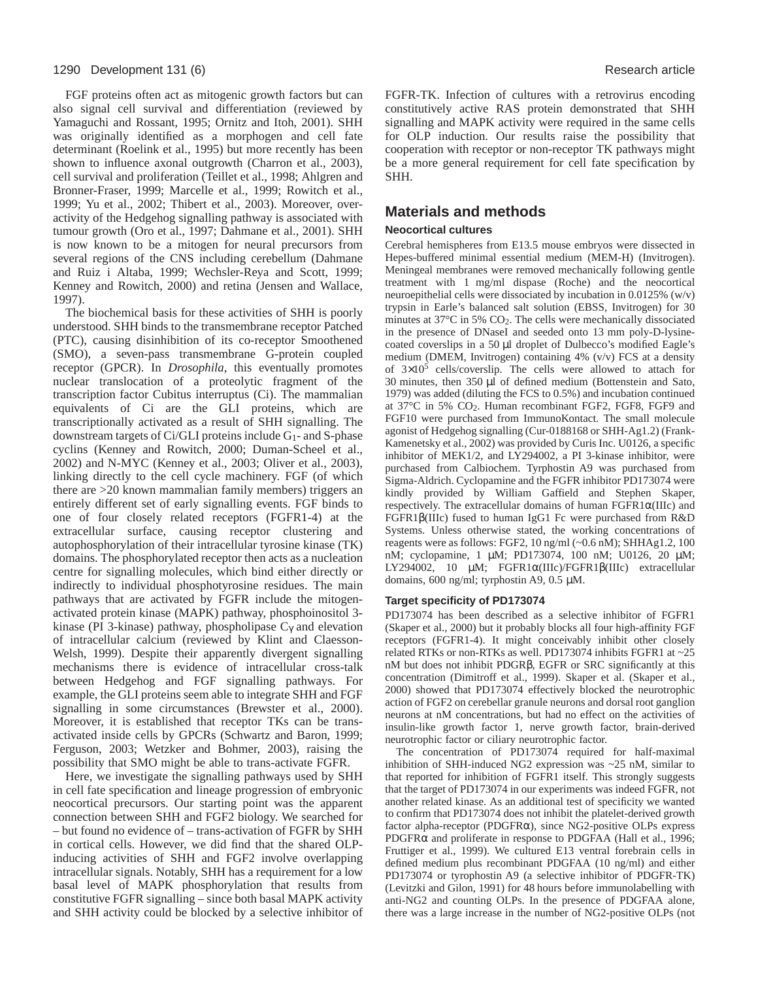#### 1290 Development 131 (6) **Research article Research article Research article Research article**

FGF proteins often act as mitogenic growth factors but can also signal cell survival and differentiation (reviewed by Yamaguchi and Rossant, 1995; Ornitz and Itoh, 2001). SHH was originally identified as a morphogen and cell fate determinant (Roelink et al., 1995) but more recently has been shown to influence axonal outgrowth (Charron et al., 2003), cell survival and proliferation (Teillet et al., 1998; Ahlgren and Bronner-Fraser, 1999; Marcelle et al., 1999; Rowitch et al., 1999; Yu et al., 2002; Thibert et al., 2003). Moreover, overactivity of the Hedgehog signalling pathway is associated with tumour growth (Oro et al., 1997; Dahmane et al., 2001). SHH is now known to be a mitogen for neural precursors from several regions of the CNS including cerebellum (Dahmane and Ruiz i Altaba, 1999; Wechsler-Reya and Scott, 1999; Kenney and Rowitch, 2000) and retina (Jensen and Wallace, 1997).

The biochemical basis for these activities of SHH is poorly understood. SHH binds to the transmembrane receptor Patched (PTC), causing disinhibition of its co-receptor Smoothened (SMO), a seven-pass transmembrane G-protein coupled receptor (GPCR). In *Drosophila*, this eventually promotes nuclear translocation of a proteolytic fragment of the transcription factor Cubitus interruptus (Ci). The mammalian equivalents of Ci are the GLI proteins, which are transcriptionally activated as a result of SHH signalling. The downstream targets of Ci/GLI proteins include G1- and S-phase cyclins (Kenney and Rowitch, 2000; Duman-Scheel et al., 2002) and N-MYC (Kenney et al., 2003; Oliver et al., 2003), linking directly to the cell cycle machinery. FGF (of which there are >20 known mammalian family members) triggers an entirely different set of early signalling events. FGF binds to one of four closely related receptors (FGFR1-4) at the extracellular surface, causing receptor clustering and autophosphorylation of their intracellular tyrosine kinase (TK) domains. The phosphorylated receptor then acts as a nucleation centre for signalling molecules, which bind either directly or indirectly to individual phosphotyrosine residues. The main pathways that are activated by FGFR include the mitogenactivated protein kinase (MAPK) pathway, phosphoinositol 3 kinase (PI 3-kinase) pathway, phospholipase  $C_{\gamma}$  and elevation of intracellular calcium (reviewed by Klint and Claesson-Welsh, 1999). Despite their apparently divergent signalling mechanisms there is evidence of intracellular cross-talk between Hedgehog and FGF signalling pathways. For example, the GLI proteins seem able to integrate SHH and FGF signalling in some circumstances (Brewster et al., 2000). Moreover, it is established that receptor TKs can be transactivated inside cells by GPCRs (Schwartz and Baron, 1999; Ferguson, 2003; Wetzker and Bohmer, 2003), raising the possibility that SMO might be able to trans-activate FGFR.

Here, we investigate the signalling pathways used by SHH in cell fate specification and lineage progression of embryonic neocortical precursors. Our starting point was the apparent connection between SHH and FGF2 biology. We searched for – but found no evidence of – trans-activation of FGFR by SHH in cortical cells. However, we did find that the shared OLPinducing activities of SHH and FGF2 involve overlapping intracellular signals. Notably, SHH has a requirement for a low basal level of MAPK phosphorylation that results from constitutive FGFR signalling – since both basal MAPK activity and SHH activity could be blocked by a selective inhibitor of

FGFR-TK. Infection of cultures with a retrovirus encoding constitutively active RAS protein demonstrated that SHH signalling and MAPK activity were required in the same cells for OLP induction. Our results raise the possibility that cooperation with receptor or non-receptor TK pathways might be a more general requirement for cell fate specification by SHH.

# **Materials and methods**

#### **Neocortical cultures**

Cerebral hemispheres from E13.5 mouse embryos were dissected in Hepes-buffered minimal essential medium (MEM-H) (Invitrogen). Meningeal membranes were removed mechanically following gentle treatment with 1 mg/ml dispase (Roche) and the neocortical neuroepithelial cells were dissociated by incubation in 0.0125% (w/v) trypsin in Earle's balanced salt solution (EBSS, Invitrogen) for 30 minutes at 37°C in 5% CO2. The cells were mechanically dissociated in the presence of DNaseI and seeded onto 13 mm poly-D-lysinecoated coverslips in a 50 µl droplet of Dulbecco's modified Eagle's medium (DMEM, Invitrogen) containing 4% (v/v) FCS at a density of  $3\times10^5$  cells/coverslip. The cells were allowed to attach for 30 minutes, then 350 µl of defined medium (Bottenstein and Sato, 1979) was added (diluting the FCS to 0.5%) and incubation continued at 37°C in 5% CO2. Human recombinant FGF2, FGF8, FGF9 and FGF10 were purchased from ImmunoKontact. The small molecule agonist of Hedgehog signalling (Cur-0188168 or SHH-Ag1.2) (Frank-Kamenetsky et al., 2002) was provided by Curis Inc. U0126, a specific inhibitor of MEK1/2, and LY294002, a PI 3-kinase inhibitor, were purchased from Calbiochem. Tyrphostin A9 was purchased from Sigma-Aldrich. Cyclopamine and the FGFR inhibitor PD173074 were kindly provided by William Gaffield and Stephen Skaper, respectively. The extracellular domains of human FGFR1α(IIIc) and FGFR1β(IIIc) fused to human IgG1 Fc were purchased from R&D Systems. Unless otherwise stated, the working concentrations of reagents were as follows: FGF2, 10 ng/ml (~0.6 nM); SHHAg1.2, 100 nM; cyclopamine, 1 µM; PD173074, 100 nM; U0126, 20 µM; LY294002, 10 µM; FGFR1α(IIIc)/FGFR1β(IIIc) extracellular domains, 600 ng/ml; tyrphostin A9, 0.5 µM.

#### **Target specificity of PD173074**

PD173074 has been described as a selective inhibitor of FGFR1 (Skaper et al., 2000) but it probably blocks all four high-affinity FGF receptors (FGFR1-4). It might conceivably inhibit other closely related RTKs or non-RTKs as well. PD173074 inhibits FGFR1 at ~25 nM but does not inhibit PDGRβ, EGFR or SRC significantly at this concentration (Dimitroff et al., 1999). Skaper et al. (Skaper et al., 2000) showed that PD173074 effectively blocked the neurotrophic action of FGF2 on cerebellar granule neurons and dorsal root ganglion neurons at nM concentrations, but had no effect on the activities of insulin-like growth factor 1, nerve growth factor, brain-derived neurotrophic factor or ciliary neurotrophic factor.

The concentration of PD173074 required for half-maximal inhibition of SHH-induced NG2 expression was ~25 nM, similar to that reported for inhibition of FGFR1 itself. This strongly suggests that the target of PD173074 in our experiments was indeed FGFR, not another related kinase. As an additional test of specificity we wanted to confirm that PD173074 does not inhibit the platelet-derived growth factor alpha-receptor (PDGFRα), since NG2-positive OLPs express PDGFRα and proliferate in response to PDGFAA (Hall et al., 1996; Fruttiger et al., 1999). We cultured E13 ventral forebrain cells in defined medium plus recombinant PDGFAA (10 ng/ml) and either PD173074 or tyrophostin A9 (a selective inhibitor of PDGFR-TK) (Levitzki and Gilon, 1991) for 48 hours before immunolabelling with anti-NG2 and counting OLPs. In the presence of PDGFAA alone, there was a large increase in the number of NG2-positive OLPs (not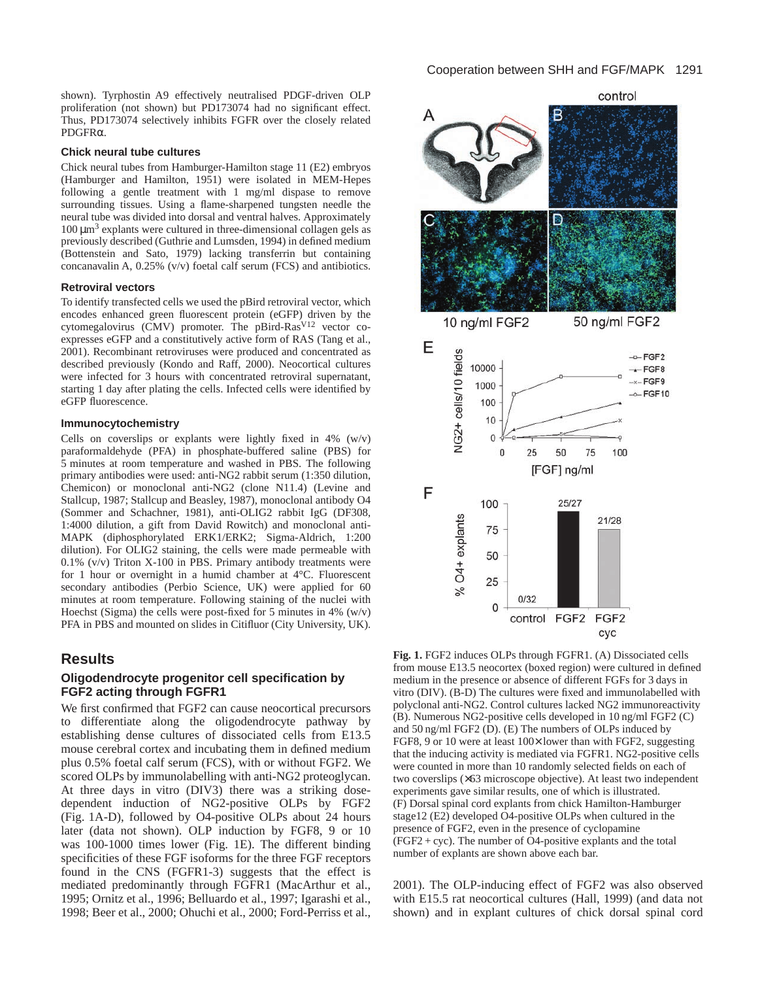shown). Tyrphostin A9 effectively neutralised PDGF-driven OLP proliferation (not shown) but PD173074 had no significant effect. Thus, PD173074 selectively inhibits FGFR over the closely related PDGFRα.

#### **Chick neural tube cultures**

Chick neural tubes from Hamburger-Hamilton stage 11 (E2) embryos (Hamburger and Hamilton, 1951) were isolated in MEM-Hepes following a gentle treatment with 1 mg/ml dispase to remove surrounding tissues. Using a flame-sharpened tungsten needle the neural tube was divided into dorsal and ventral halves. Approximately  $100 \mu m^3$  explants were cultured in three-dimensional collagen gels as previously described (Guthrie and Lumsden, 1994) in defined medium (Bottenstein and Sato, 1979) lacking transferrin but containing concanavalin A, 0.25% (v/v) foetal calf serum (FCS) and antibiotics.

#### **Retroviral vectors**

To identify transfected cells we used the pBird retroviral vector, which encodes enhanced green fluorescent protein (eGFP) driven by the cytomegalovirus (CMV) promoter. The pBird-Ras<sup>V12</sup> vector coexpresses eGFP and a constitutively active form of RAS (Tang et al., 2001). Recombinant retroviruses were produced and concentrated as described previously (Kondo and Raff, 2000). Neocortical cultures were infected for 3 hours with concentrated retroviral supernatant, starting 1 day after plating the cells. Infected cells were identified by eGFP fluorescence.

#### **Immunocytochemistry**

Cells on coverslips or explants were lightly fixed in  $4\%$  (w/v) paraformaldehyde (PFA) in phosphate-buffered saline (PBS) for 5 minutes at room temperature and washed in PBS. The following primary antibodies were used: anti-NG2 rabbit serum (1:350 dilution, Chemicon) or monoclonal anti-NG2 (clone N11.4) (Levine and Stallcup, 1987; Stallcup and Beasley, 1987), monoclonal antibody O4 (Sommer and Schachner, 1981), anti-OLIG2 rabbit IgG (DF308, 1:4000 dilution, a gift from David Rowitch) and monoclonal anti-MAPK (diphosphorylated ERK1/ERK2; Sigma-Aldrich, 1:200 dilution). For OLIG2 staining, the cells were made permeable with 0.1% (v/v) Triton X-100 in PBS. Primary antibody treatments were for 1 hour or overnight in a humid chamber at 4°C. Fluorescent secondary antibodies (Perbio Science, UK) were applied for 60 minutes at room temperature. Following staining of the nuclei with Hoechst (Sigma) the cells were post-fixed for 5 minutes in 4% (w/v) PFA in PBS and mounted on slides in Citifluor (City University, UK).

## **Results**

## **Oligodendrocyte progenitor cell specification by FGF2 acting through FGFR1**

We first confirmed that FGF2 can cause neocortical precursors to differentiate along the oligodendrocyte pathway by establishing dense cultures of dissociated cells from E13.5 mouse cerebral cortex and incubating them in defined medium plus 0.5% foetal calf serum (FCS), with or without FGF2. We scored OLPs by immunolabelling with anti-NG2 proteoglycan. At three days in vitro (DIV3) there was a striking dosedependent induction of NG2-positive OLPs by FGF2 (Fig. 1A-D), followed by O4-positive OLPs about 24 hours later (data not shown). OLP induction by FGF8, 9 or 10 was 100-1000 times lower (Fig. 1E). The different binding specificities of these FGF isoforms for the three FGF receptors found in the CNS (FGFR1-3) suggests that the effect is mediated predominantly through FGFR1 (MacArthur et al., 1995; Ornitz et al., 1996; Belluardo et al., 1997; Igarashi et al., 1998; Beer et al., 2000; Ohuchi et al., 2000; Ford-Perriss et al., control



**Fig. 1.** FGF2 induces OLPs through FGFR1. (A) Dissociated cells from mouse E13.5 neocortex (boxed region) were cultured in defined medium in the presence or absence of different FGFs for 3 days in vitro (DIV). (B-D) The cultures were fixed and immunolabelled with polyclonal anti-NG2. Control cultures lacked NG2 immunoreactivity (B). Numerous NG2-positive cells developed in 10 ng/ml FGF2 (C) and 50 ng/ml FGF2 (D). (E) The numbers of OLPs induced by FGF8, 9 or 10 were at least  $100\times$  lower than with FGF2, suggesting that the inducing activity is mediated via FGFR1. NG2-positive cells were counted in more than 10 randomly selected fields on each of two coverslips (×63 microscope objective). At least two independent experiments gave similar results, one of which is illustrated. (F) Dorsal spinal cord explants from chick Hamilton-Hamburger stage12 (E2) developed O4-positive OLPs when cultured in the presence of FGF2, even in the presence of cyclopamine  $(FGF2 + cyc)$ . The number of O4-positive explants and the total number of explants are shown above each bar.

2001). The OLP-inducing effect of FGF2 was also observed with E15.5 rat neocortical cultures (Hall, 1999) (and data not shown) and in explant cultures of chick dorsal spinal cord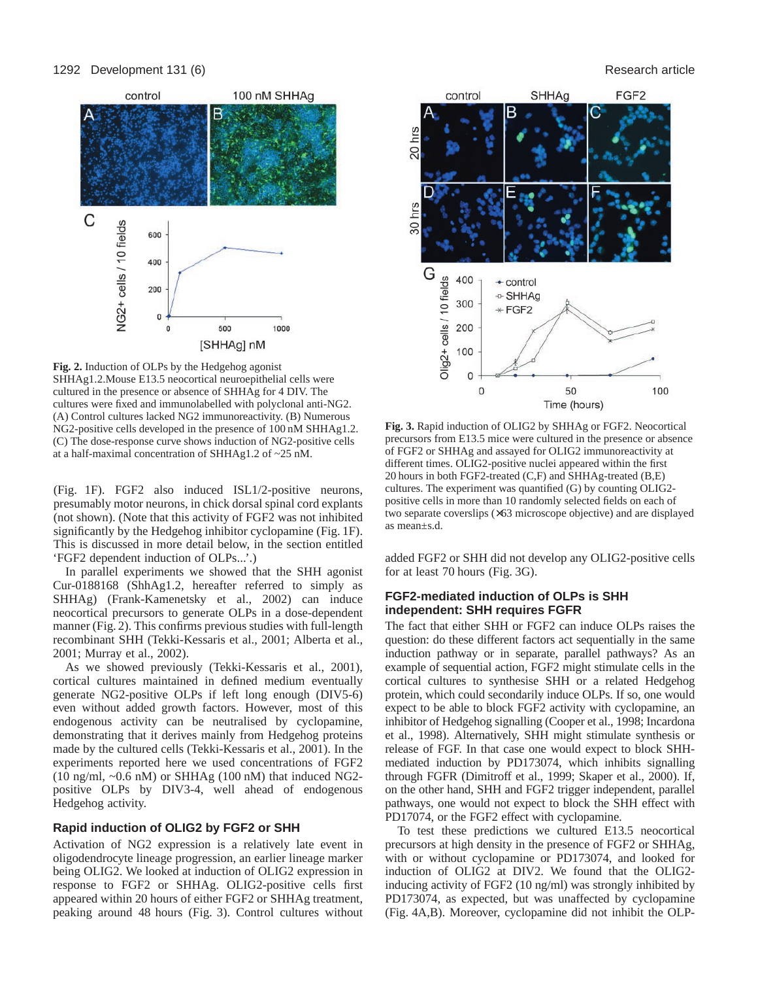#### 1292 Development 131 (6) **Research article Research article Research article Research article**



**Fig. 2.** Induction of OLPs by the Hedgehog agonist SHHAg1.2.Mouse E13.5 neocortical neuroepithelial cells were cultured in the presence or absence of SHHAg for 4 DIV. The cultures were fixed and immunolabelled with polyclonal anti-NG2. (A) Control cultures lacked NG2 immunoreactivity. (B) Numerous NG2-positive cells developed in the presence of 100 nM SHHAg1.2. (C) The dose-response curve shows induction of NG2-positive cells at a half-maximal concentration of SHHAg1.2 of ~25 nM.

(Fig. 1F). FGF2 also induced ISL1/2-positive neurons, presumably motor neurons, in chick dorsal spinal cord explants (not shown). (Note that this activity of FGF2 was not inhibited significantly by the Hedgehog inhibitor cyclopamine (Fig. 1F). This is discussed in more detail below, in the section entitled 'FGF2 dependent induction of OLPs...'.)

In parallel experiments we showed that the SHH agonist Cur-0188168 (ShhAg1.2, hereafter referred to simply as SHHAg) (Frank-Kamenetsky et al., 2002) can induce neocortical precursors to generate OLPs in a dose-dependent manner (Fig. 2). This confirms previous studies with full-length recombinant SHH (Tekki-Kessaris et al., 2001; Alberta et al., 2001; Murray et al., 2002).

As we showed previously (Tekki-Kessaris et al., 2001), cortical cultures maintained in defined medium eventually generate NG2-positive OLPs if left long enough (DIV5-6) even without added growth factors. However, most of this endogenous activity can be neutralised by cyclopamine, demonstrating that it derives mainly from Hedgehog proteins made by the cultured cells (Tekki-Kessaris et al., 2001). In the experiments reported here we used concentrations of FGF2 (10 ng/ml,  $\sim 0.6$  nM) or SHHAg (100 nM) that induced NG2positive OLPs by DIV3-4, well ahead of endogenous Hedgehog activity.

## **Rapid induction of OLIG2 by FGF2 or SHH**

Activation of NG2 expression is a relatively late event in oligodendrocyte lineage progression, an earlier lineage marker being OLIG2. We looked at induction of OLIG2 expression in response to FGF2 or SHHAg. OLIG2-positive cells first appeared within 20 hours of either FGF2 or SHHAg treatment, peaking around 48 hours (Fig. 3). Control cultures without



**Fig. 3.** Rapid induction of OLIG2 by SHHAg or FGF2. Neocortical precursors from E13.5 mice were cultured in the presence or absence of FGF2 or SHHAg and assayed for OLIG2 immunoreactivity at different times. OLIG2-positive nuclei appeared within the first 20 hours in both FGF2-treated (C,F) and SHHAg-treated (B,E) cultures. The experiment was quantified (G) by counting OLIG2 positive cells in more than 10 randomly selected fields on each of two separate coverslips (×63 microscope objective) and are displayed as mean±s.d.

added FGF2 or SHH did not develop any OLIG2-positive cells for at least 70 hours (Fig. 3G).

## **FGF2-mediated induction of OLPs is SHH independent: SHH requires FGFR**

The fact that either SHH or FGF2 can induce OLPs raises the question: do these different factors act sequentially in the same induction pathway or in separate, parallel pathways? As an example of sequential action, FGF2 might stimulate cells in the cortical cultures to synthesise SHH or a related Hedgehog protein, which could secondarily induce OLPs. If so, one would expect to be able to block FGF2 activity with cyclopamine, an inhibitor of Hedgehog signalling (Cooper et al., 1998; Incardona et al., 1998). Alternatively, SHH might stimulate synthesis or release of FGF. In that case one would expect to block SHHmediated induction by PD173074, which inhibits signalling through FGFR (Dimitroff et al., 1999; Skaper et al., 2000). If, on the other hand, SHH and FGF2 trigger independent, parallel pathways, one would not expect to block the SHH effect with PD17074, or the FGF2 effect with cyclopamine.

To test these predictions we cultured E13.5 neocortical precursors at high density in the presence of FGF2 or SHHAg, with or without cyclopamine or PD173074, and looked for induction of OLIG2 at DIV2. We found that the OLIG2 inducing activity of FGF2 (10 ng/ml) was strongly inhibited by PD173074, as expected, but was unaffected by cyclopamine (Fig. 4A,B). Moreover, cyclopamine did not inhibit the OLP-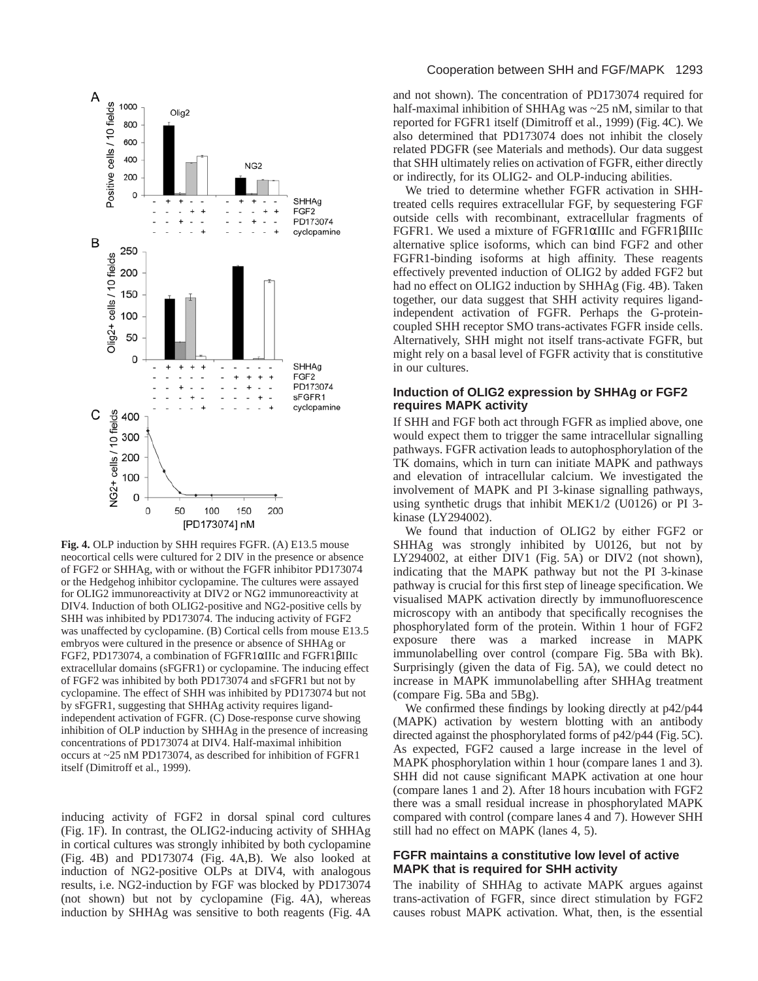

**Fig. 4.** OLP induction by SHH requires FGFR. (A) E13.5 mouse neocortical cells were cultured for 2 DIV in the presence or absence of FGF2 or SHHAg, with or without the FGFR inhibitor PD173074 or the Hedgehog inhibitor cyclopamine. The cultures were assayed for OLIG2 immunoreactivity at DIV2 or NG2 immunoreactivity at DIV4. Induction of both OLIG2-positive and NG2-positive cells by SHH was inhibited by PD173074. The inducing activity of FGF2 was unaffected by cyclopamine. (B) Cortical cells from mouse E13.5 embryos were cultured in the presence or absence of SHHAg or FGF2, PD173074, a combination of FGFR1αIIIc and FGFR1βIIIc extracellular domains (sFGFR1) or cyclopamine. The inducing effect of FGF2 was inhibited by both PD173074 and sFGFR1 but not by cyclopamine. The effect of SHH was inhibited by PD173074 but not by sFGFR1, suggesting that SHHAg activity requires ligandindependent activation of FGFR. (C) Dose-response curve showing inhibition of OLP induction by SHHAg in the presence of increasing concentrations of PD173074 at DIV4. Half-maximal inhibition occurs at ~25 nM PD173074, as described for inhibition of FGFR1 itself (Dimitroff et al., 1999).

inducing activity of FGF2 in dorsal spinal cord cultures (Fig. 1F). In contrast, the OLIG2-inducing activity of SHHAg in cortical cultures was strongly inhibited by both cyclopamine (Fig. 4B) and PD173074 (Fig. 4A,B). We also looked at induction of NG2-positive OLPs at DIV4, with analogous results, i.e. NG2-induction by FGF was blocked by PD173074 (not shown) but not by cyclopamine (Fig. 4A), whereas induction by SHHAg was sensitive to both reagents (Fig. 4A

#### Cooperation between SHH and FGF/MAPK 1293

and not shown). The concentration of PD173074 required for half-maximal inhibition of SHHAg was ~25 nM, similar to that reported for FGFR1 itself (Dimitroff et al., 1999) (Fig. 4C). We also determined that PD173074 does not inhibit the closely related PDGFR (see Materials and methods). Our data suggest that SHH ultimately relies on activation of FGFR, either directly or indirectly, for its OLIG2- and OLP-inducing abilities.

We tried to determine whether FGFR activation in SHHtreated cells requires extracellular FGF, by sequestering FGF outside cells with recombinant, extracellular fragments of FGFR1. We used a mixture of FGFR1αIIIc and FGFR1βIIIc alternative splice isoforms, which can bind FGF2 and other FGFR1-binding isoforms at high affinity. These reagents effectively prevented induction of OLIG2 by added FGF2 but had no effect on OLIG2 induction by SHHAg (Fig. 4B). Taken together, our data suggest that SHH activity requires ligandindependent activation of FGFR. Perhaps the G-proteincoupled SHH receptor SMO trans-activates FGFR inside cells. Alternatively, SHH might not itself trans-activate FGFR, but might rely on a basal level of FGFR activity that is constitutive in our cultures.

#### **Induction of OLIG2 expression by SHHAg or FGF2 requires MAPK activity**

If SHH and FGF both act through FGFR as implied above, one would expect them to trigger the same intracellular signalling pathways. FGFR activation leads to autophosphorylation of the TK domains, which in turn can initiate MAPK and pathways and elevation of intracellular calcium. We investigated the involvement of MAPK and PI 3-kinase signalling pathways, using synthetic drugs that inhibit MEK1/2 (U0126) or PI 3 kinase (LY294002).

We found that induction of OLIG2 by either FGF2 or SHHAg was strongly inhibited by U0126, but not by LY294002, at either DIV1 (Fig. 5A) or DIV2 (not shown), indicating that the MAPK pathway but not the PI 3-kinase pathway is crucial for this first step of lineage specification. We visualised MAPK activation directly by immunofluorescence microscopy with an antibody that specifically recognises the phosphorylated form of the protein. Within 1 hour of FGF2 exposure there was a marked increase in MAPK immunolabelling over control (compare Fig. 5Ba with Bk). Surprisingly (given the data of Fig. 5A), we could detect no increase in MAPK immunolabelling after SHHAg treatment (compare Fig. 5Ba and 5Bg).

We confirmed these findings by looking directly at p42/p44 (MAPK) activation by western blotting with an antibody directed against the phosphorylated forms of p42/p44 (Fig. 5C). As expected, FGF2 caused a large increase in the level of MAPK phosphorylation within 1 hour (compare lanes 1 and 3). SHH did not cause significant MAPK activation at one hour (compare lanes 1 and 2). After 18 hours incubation with FGF2 there was a small residual increase in phosphorylated MAPK compared with control (compare lanes 4 and 7). However SHH still had no effect on MAPK (lanes 4, 5).

## **FGFR maintains a constitutive low level of active MAPK that is required for SHH activity**

The inability of SHHAg to activate MAPK argues against trans-activation of FGFR, since direct stimulation by FGF2 causes robust MAPK activation. What, then, is the essential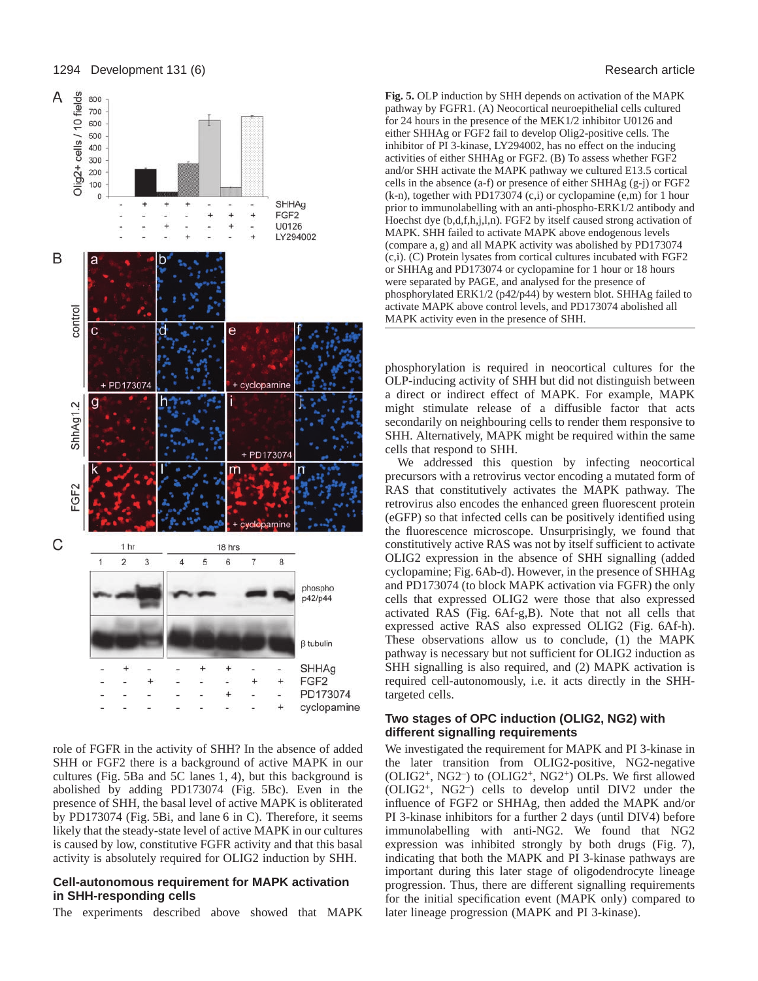

role of FGFR in the activity of SHH? In the absence of added SHH or FGF2 there is a background of active MAPK in our cultures (Fig. 5Ba and 5C lanes 1, 4), but this background is abolished by adding PD173074 (Fig. 5Bc). Even in the presence of SHH, the basal level of active MAPK is obliterated by PD173074 (Fig. 5Bi, and lane 6 in C). Therefore, it seems likely that the steady-state level of active MAPK in our cultures is caused by low, constitutive FGFR activity and that this basal activity is absolutely required for OLIG2 induction by SHH.

### **Cell-autonomous requirement for MAPK activation in SHH-responding cells**

The experiments described above showed that MAPK

**Fig. 5.** OLP induction by SHH depends on activation of the MAPK pathway by FGFR1. (A) Neocortical neuroepithelial cells cultured for 24 hours in the presence of the MEK1/2 inhibitor U0126 and either SHHAg or FGF2 fail to develop Olig2-positive cells. The inhibitor of PI 3-kinase, LY294002, has no effect on the inducing activities of either SHHAg or FGF2. (B) To assess whether FGF2 and/or SHH activate the MAPK pathway we cultured E13.5 cortical cells in the absence (a-f) or presence of either SHHAg (g-j) or FGF2 (k-n), together with PD173074 (c,i) or cyclopamine (e,m) for 1 hour prior to immunolabelling with an anti-phospho-ERK1/2 antibody and Hoechst dye (b,d,f,h,j,l,n). FGF2 by itself caused strong activation of MAPK. SHH failed to activate MAPK above endogenous levels (compare a, g) and all MAPK activity was abolished by PD173074 (c,i). (C) Protein lysates from cortical cultures incubated with FGF2 or SHHAg and PD173074 or cyclopamine for 1 hour or 18 hours were separated by PAGE, and analysed for the presence of phosphorylated ERK1/2 (p42/p44) by western blot. SHHAg failed to activate MAPK above control levels, and PD173074 abolished all MAPK activity even in the presence of SHH.

phosphorylation is required in neocortical cultures for the OLP-inducing activity of SHH but did not distinguish between a direct or indirect effect of MAPK. For example, MAPK might stimulate release of a diffusible factor that acts secondarily on neighbouring cells to render them responsive to SHH. Alternatively, MAPK might be required within the same cells that respond to SHH.

We addressed this question by infecting neocortical precursors with a retrovirus vector encoding a mutated form of RAS that constitutively activates the MAPK pathway. The retrovirus also encodes the enhanced green fluorescent protein (eGFP) so that infected cells can be positively identified using the fluorescence microscope. Unsurprisingly, we found that constitutively active RAS was not by itself sufficient to activate OLIG2 expression in the absence of SHH signalling (added cyclopamine; Fig. 6Ab-d). However, in the presence of SHHAg and PD173074 (to block MAPK activation via FGFR) the only cells that expressed OLIG2 were those that also expressed activated RAS (Fig. 6Af-g,B). Note that not all cells that expressed active RAS also expressed OLIG2 (Fig. 6Af-h). These observations allow us to conclude, (1) the MAPK pathway is necessary but not sufficient for OLIG2 induction as SHH signalling is also required, and (2) MAPK activation is required cell-autonomously, i.e. it acts directly in the SHHtargeted cells.

## **Two stages of OPC induction (OLIG2, NG2) with different signalling requirements**

We investigated the requirement for MAPK and PI 3-kinase in the later transition from OLIG2-positive, NG2-negative (OLIG2+, NG2–) to (OLIG2+, NG2+) OLPs. We first allowed (OLIG2+, NG2–) cells to develop until DIV2 under the influence of FGF2 or SHHAg, then added the MAPK and/or PI 3-kinase inhibitors for a further 2 days (until DIV4) before immunolabelling with anti-NG2. We found that NG2 expression was inhibited strongly by both drugs (Fig. 7), indicating that both the MAPK and PI 3-kinase pathways are important during this later stage of oligodendrocyte lineage progression. Thus, there are different signalling requirements for the initial specification event (MAPK only) compared to later lineage progression (MAPK and PI 3-kinase).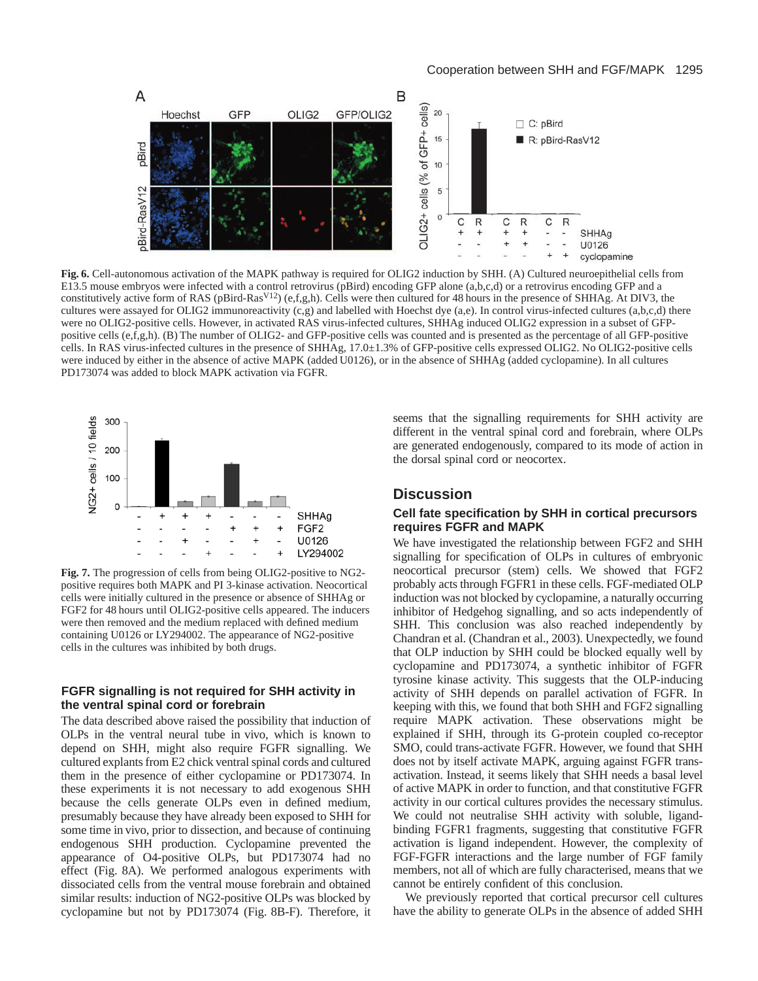

**Fig. 6.** Cell-autonomous activation of the MAPK pathway is required for OLIG2 induction by SHH. (A) Cultured neuroepithelial cells from E13.5 mouse embryos were infected with a control retrovirus (pBird) encoding GFP alone (a,b,c,d) or a retrovirus encoding GFP and a constitutively active form of RAS (pBird-RasV12) (e,f,g,h). Cells were then cultured for 48 hours in the presence of SHHAg. At DIV3, the cultures were assayed for OLIG2 immunoreactivity (c,g) and labelled with Hoechst dye (a,e). In control virus-infected cultures (a,b,c,d) there were no OLIG2-positive cells. However, in activated RAS virus-infected cultures, SHHAg induced OLIG2 expression in a subset of GFPpositive cells (e,f,g,h). (B) The number of OLIG2- and GFP-positive cells was counted and is presented as the percentage of all GFP-positive cells. In RAS virus-infected cultures in the presence of SHHAg, 17.0±1.3% of GFP-positive cells expressed OLIG2. No OLIG2-positive cells were induced by either in the absence of active MAPK (added U0126), or in the absence of SHHAg (added cyclopamine). In all cultures PD173074 was added to block MAPK activation via FGFR.



**Fig. 7.** The progression of cells from being OLIG2-positive to NG2 positive requires both MAPK and PI 3-kinase activation. Neocortical cells were initially cultured in the presence or absence of SHHAg or FGF2 for 48 hours until OLIG2-positive cells appeared. The inducers were then removed and the medium replaced with defined medium containing U0126 or LY294002. The appearance of NG2-positive cells in the cultures was inhibited by both drugs.

### **FGFR signalling is not required for SHH activity in the ventral spinal cord or forebrain**

The data described above raised the possibility that induction of OLPs in the ventral neural tube in vivo, which is known to depend on SHH, might also require FGFR signalling. We cultured explants from E2 chick ventral spinal cords and cultured them in the presence of either cyclopamine or PD173074. In these experiments it is not necessary to add exogenous SHH because the cells generate OLPs even in defined medium, presumably because they have already been exposed to SHH for some time in vivo, prior to dissection, and because of continuing endogenous SHH production. Cyclopamine prevented the appearance of O4-positive OLPs, but PD173074 had no effect (Fig. 8A). We performed analogous experiments with dissociated cells from the ventral mouse forebrain and obtained similar results: induction of NG2-positive OLPs was blocked by cyclopamine but not by PD173074 (Fig. 8B-F). Therefore, it seems that the signalling requirements for SHH activity are different in the ventral spinal cord and forebrain, where OLPs are generated endogenously, compared to its mode of action in the dorsal spinal cord or neocortex.

# **Discussion**

## **Cell fate specification by SHH in cortical precursors requires FGFR and MAPK**

We have investigated the relationship between FGF2 and SHH signalling for specification of OLPs in cultures of embryonic neocortical precursor (stem) cells. We showed that FGF2 probably acts through FGFR1 in these cells. FGF-mediated OLP induction was not blocked by cyclopamine, a naturally occurring inhibitor of Hedgehog signalling, and so acts independently of SHH. This conclusion was also reached independently by Chandran et al. (Chandran et al., 2003). Unexpectedly, we found that OLP induction by SHH could be blocked equally well by cyclopamine and PD173074, a synthetic inhibitor of FGFR tyrosine kinase activity. This suggests that the OLP-inducing activity of SHH depends on parallel activation of FGFR. In keeping with this, we found that both SHH and FGF2 signalling require MAPK activation. These observations might be explained if SHH, through its G-protein coupled co-receptor SMO, could trans-activate FGFR. However, we found that SHH does not by itself activate MAPK, arguing against FGFR transactivation. Instead, it seems likely that SHH needs a basal level of active MAPK in order to function, and that constitutive FGFR activity in our cortical cultures provides the necessary stimulus. We could not neutralise SHH activity with soluble, ligandbinding FGFR1 fragments, suggesting that constitutive FGFR activation is ligand independent. However, the complexity of FGF-FGFR interactions and the large number of FGF family members, not all of which are fully characterised, means that we cannot be entirely confident of this conclusion.

We previously reported that cortical precursor cell cultures have the ability to generate OLPs in the absence of added SHH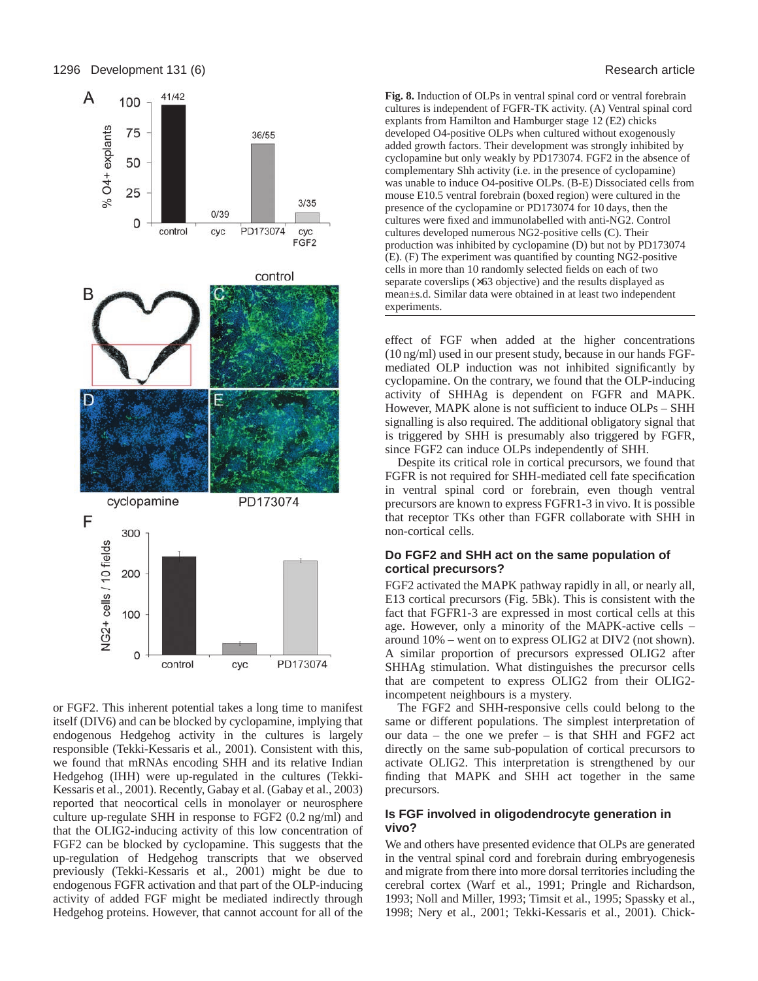

or FGF2. This inherent potential takes a long time to manifest itself (DIV6) and can be blocked by cyclopamine, implying that endogenous Hedgehog activity in the cultures is largely responsible (Tekki-Kessaris et al., 2001). Consistent with this, we found that mRNAs encoding SHH and its relative Indian Hedgehog (IHH) were up-regulated in the cultures (Tekki-Kessaris et al., 2001). Recently, Gabay et al. (Gabay et al., 2003) reported that neocortical cells in monolayer or neurosphere culture up-regulate SHH in response to FGF2 (0.2 ng/ml) and that the OLIG2-inducing activity of this low concentration of FGF2 can be blocked by cyclopamine. This suggests that the up-regulation of Hedgehog transcripts that we observed previously (Tekki-Kessaris et al., 2001) might be due to endogenous FGFR activation and that part of the OLP-inducing activity of added FGF might be mediated indirectly through Hedgehog proteins. However, that cannot account for all of the **Fig. 8.** Induction of OLPs in ventral spinal cord or ventral forebrain cultures is independent of FGFR-TK activity. (A) Ventral spinal cord explants from Hamilton and Hamburger stage 12 (E2) chicks developed O4-positive OLPs when cultured without exogenously added growth factors. Their development was strongly inhibited by cyclopamine but only weakly by PD173074. FGF2 in the absence of complementary Shh activity (i.e. in the presence of cyclopamine) was unable to induce O4-positive OLPs. (B-E) Dissociated cells from mouse E10.5 ventral forebrain (boxed region) were cultured in the presence of the cyclopamine or PD173074 for 10 days, then the cultures were fixed and immunolabelled with anti-NG2. Control cultures developed numerous NG2-positive cells (C). Their production was inhibited by cyclopamine (D) but not by PD173074 (E). (F) The experiment was quantified by counting NG2-positive cells in more than 10 randomly selected fields on each of two separate coverslips ( $\times$ 63 objective) and the results displayed as mean±s.d. Similar data were obtained in at least two independent experiments.

effect of FGF when added at the higher concentrations (10 ng/ml) used in our present study, because in our hands FGFmediated OLP induction was not inhibited significantly by cyclopamine. On the contrary, we found that the OLP-inducing activity of SHHAg is dependent on FGFR and MAPK. However, MAPK alone is not sufficient to induce OLPs – SHH signalling is also required. The additional obligatory signal that is triggered by SHH is presumably also triggered by FGFR, since FGF2 can induce OLPs independently of SHH.

Despite its critical role in cortical precursors, we found that FGFR is not required for SHH-mediated cell fate specification in ventral spinal cord or forebrain, even though ventral precursors are known to express FGFR1-3 in vivo. It is possible that receptor TKs other than FGFR collaborate with SHH in non-cortical cells.

## **Do FGF2 and SHH act on the same population of cortical precursors?**

FGF2 activated the MAPK pathway rapidly in all, or nearly all, E13 cortical precursors (Fig. 5Bk). This is consistent with the fact that FGFR1-3 are expressed in most cortical cells at this age. However, only a minority of the MAPK-active cells – around 10% – went on to express OLIG2 at DIV2 (not shown). A similar proportion of precursors expressed OLIG2 after SHHAg stimulation. What distinguishes the precursor cells that are competent to express OLIG2 from their OLIG2 incompetent neighbours is a mystery.

The FGF2 and SHH-responsive cells could belong to the same or different populations. The simplest interpretation of our data – the one we prefer – is that SHH and FGF2 act directly on the same sub-population of cortical precursors to activate OLIG2. This interpretation is strengthened by our finding that MAPK and SHH act together in the same precursors.

## **Is FGF involved in oligodendrocyte generation in vivo?**

We and others have presented evidence that OLPs are generated in the ventral spinal cord and forebrain during embryogenesis and migrate from there into more dorsal territories including the cerebral cortex (Warf et al., 1991; Pringle and Richardson, 1993; Noll and Miller, 1993; Timsit et al., 1995; Spassky et al., 1998; Nery et al., 2001; Tekki-Kessaris et al., 2001). Chick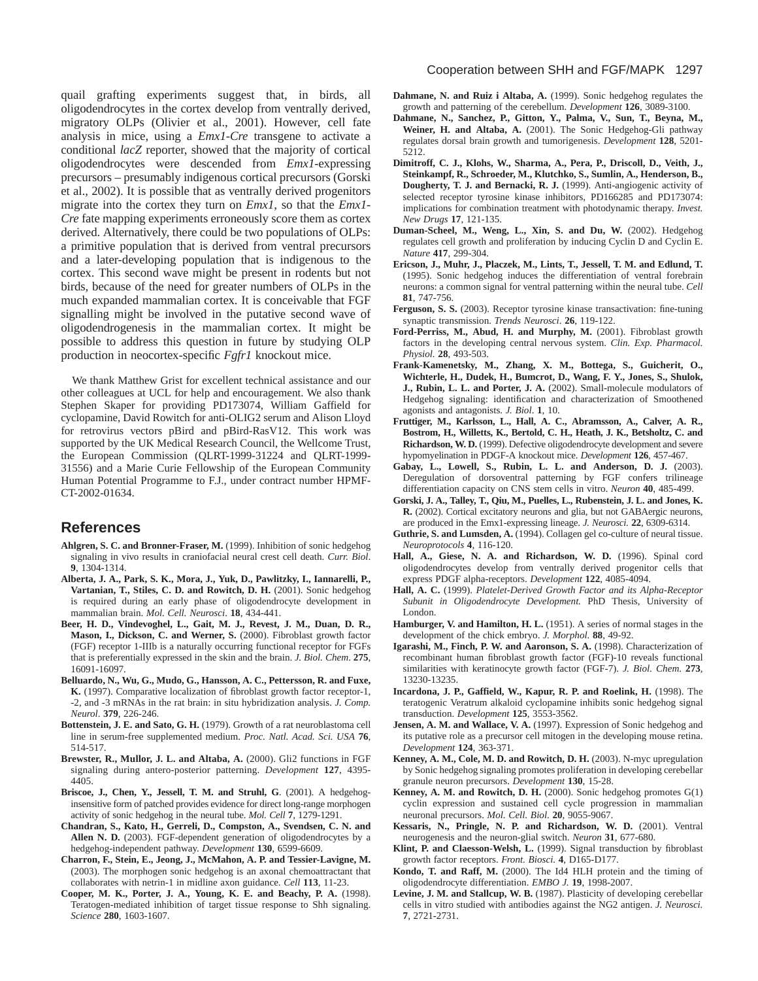quail grafting experiments suggest that, in birds, all oligodendrocytes in the cortex develop from ventrally derived, migratory OLPs (Olivier et al., 2001). However, cell fate analysis in mice, using a *Emx1-Cre* transgene to activate a conditional *lacZ* reporter, showed that the majority of cortical oligodendrocytes were descended from *Emx1*-expressing precursors – presumably indigenous cortical precursors (Gorski et al., 2002). It is possible that as ventrally derived progenitors migrate into the cortex they turn on *Emx1*, so that the *Emx1- Cre* fate mapping experiments erroneously score them as cortex derived. Alternatively, there could be two populations of OLPs: a primitive population that is derived from ventral precursors and a later-developing population that is indigenous to the cortex. This second wave might be present in rodents but not birds, because of the need for greater numbers of OLPs in the much expanded mammalian cortex. It is conceivable that FGF signalling might be involved in the putative second wave of oligodendrogenesis in the mammalian cortex. It might be possible to address this question in future by studying OLP production in neocortex-specific *Fgfr1* knockout mice.

We thank Matthew Grist for excellent technical assistance and our other colleagues at UCL for help and encouragement. We also thank Stephen Skaper for providing PD173074, William Gaffield for cyclopamine, David Rowitch for anti-OLIG2 serum and Alison Lloyd for retrovirus vectors pBird and pBird-RasV12. This work was supported by the UK Medical Research Council, the Wellcome Trust, the European Commission (QLRT-1999-31224 and QLRT-1999- 31556) and a Marie Curie Fellowship of the European Community Human Potential Programme to F.J., under contract number HPMF-CT-2002-01634.

# **References**

- **Ahlgren, S. C. and Bronner-Fraser, M.** (1999). Inhibition of sonic hedgehog signaling in vivo results in craniofacial neural crest cell death. *Curr. Biol*. **9**, 1304-1314.
- **Alberta, J. A., Park, S. K., Mora, J., Yuk, D., Pawlitzky, I., Iannarelli, P.,** Vartanian, T., Stiles, C. D. and Rowitch, D. H. (2001). Sonic hedgehog is required during an early phase of oligodendrocyte development in mammalian brain. *Mol. Cell. Neurosci*. **18**, 434-441.
- **Beer, H. D., Vindevoghel, L., Gait, M. J., Revest, J. M., Duan, D. R., Mason, I., Dickson, C. and Werner, S.** (2000). Fibroblast growth factor (FGF) receptor 1-IIIb is a naturally occurring functional receptor for FGFs that is preferentially expressed in the skin and the brain. *J. Biol. Chem*. **275**, 16091-16097.
- **Belluardo, N., Wu, G., Mudo, G., Hansson, A. C., Pettersson, R. and Fuxe, K.** (1997). Comparative localization of fibroblast growth factor receptor-1, -2, and -3 mRNAs in the rat brain: in situ hybridization analysis. *J. Comp. Neurol*. **379**, 226-246.
- **Bottenstein, J. E. and Sato, G. H.** (1979). Growth of a rat neuroblastoma cell line in serum-free supplemented medium. *Proc. Natl. Acad. Sci. USA* **76**, 514-517.
- **Brewster, R., Mullor, J. L. and Altaba, A.** (2000). Gli2 functions in FGF signaling during antero-posterior patterning. *Development* **127**, 4395- 4405.
- **Briscoe, J., Chen, Y., Jessell, T. M. and Struhl, G**. (2001). A hedgehoginsensitive form of patched provides evidence for direct long-range morphogen activity of sonic hedgehog in the neural tube. *Mol. Cell* **7**, 1279-1291.
- **Chandran, S., Kato, H., Gerreli, D., Compston, A., Svendsen, C. N. and Allen N. D.** (2003). FGF-dependent generation of oligodendrocytes by a hedgehog-independent pathway. *Development* **130**, 6599-6609.
- **Charron, F., Stein, E., Jeong, J., McMahon, A. P. and Tessier-Lavigne, M.** (2003). The morphogen sonic hedgehog is an axonal chemoattractant that collaborates with netrin-1 in midline axon guidance. *Cell* **113**, 11-23.
- **Cooper, M. K., Porter, J. A., Young, K. E. and Beachy, P. A.** (1998). Teratogen-mediated inhibition of target tissue response to Shh signaling. *Science* **280**, 1603-1607.
- **Dahmane, N. and Ruiz i Altaba, A.** (1999). Sonic hedgehog regulates the growth and patterning of the cerebellum. *Development* **126**, 3089-3100.
- **Dahmane, N., Sanchez, P., Gitton, Y., Palma, V., Sun, T., Beyna, M., Weiner, H. and Altaba, A.** (2001). The Sonic Hedgehog-Gli pathway regulates dorsal brain growth and tumorigenesis. *Development* **128**, 5201- 5212.
- **Dimitroff, C. J., Klohs, W., Sharma, A., Pera, P., Driscoll, D., Veith, J., Steinkampf, R., Schroeder, M., Klutchko, S., Sumlin, A., Henderson, B., Dougherty, T. J. and Bernacki, R. J.** (1999). Anti-angiogenic activity of selected receptor tyrosine kinase inhibitors, PD166285 and PD173074: implications for combination treatment with photodynamic therapy. *Invest. New Drugs* **17**, 121-135.
- **Duman-Scheel, M., Weng, L., Xin, S. and Du, W.** (2002). Hedgehog regulates cell growth and proliferation by inducing Cyclin D and Cyclin E. *Nature* **417**, 299-304.
- **Ericson, J., Muhr, J., Placzek, M., Lints, T., Jessell, T. M. and Edlund, T.** (1995). Sonic hedgehog induces the differentiation of ventral forebrain neurons: a common signal for ventral patterning within the neural tube. *Cell* **81**, 747-756.
- **Ferguson, S. S.** (2003). Receptor tyrosine kinase transactivation: fine-tuning synaptic transmission. *Trends Neurosci*. **26**, 119-122.
- Ford-Perriss, M., Abud, H. and Murphy, M. (2001). Fibroblast growth factors in the developing central nervous system. *Clin. Exp. Pharmacol. Physiol.* **28**, 493-503.
- **Frank-Kamenetsky, M., Zhang, X. M., Bottega, S., Guicherit, O., Wichterle, H., Dudek, H., Bumcrot, D., Wang, F. Y., Jones, S., Shulok, J., Rubin, L. L. and Porter, J. A.** (2002). Small-molecule modulators of Hedgehog signaling: identification and characterization of Smoothened agonists and antagonists. *J. Biol*. **1**, 10.
- **Fruttiger, M., Karlsson, L., Hall, A. C., Abramsson, A., Calver, A. R., Bostrom, H., Willetts, K., Bertold, C. H., Heath, J. K., Betsholtz, C. and Richardson, W. D.** (1999). Defective oligodendrocyte development and severe hypomyelination in PDGF-A knockout mice. *Development* **126**, 457-467.
- **Gabay, L., Lowell, S., Rubin, L. L. and Anderson, D. J.** (2003). Deregulation of dorsoventral patterning by FGF confers trilineage differentiation capacity on CNS stem cells in vitro. *Neuron* **40**, 485-499.
- **Gorski, J. A., Talley, T., Qiu, M., Puelles, L., Rubenstein, J. L. and Jones, K. R.** (2002). Cortical excitatory neurons and glia, but not GABAergic neurons, are produced in the Emx1-expressing lineage. *J. Neurosci.* **22**, 6309-6314.
- Guthrie, S. and Lumsden, A. (1994). Collagen gel co-culture of neural tissue. *Neuroprotocols* **4**, 116-120.
- **Hall, A., Giese, N. A. and Richardson, W. D.** (1996). Spinal cord oligodendrocytes develop from ventrally derived progenitor cells that express PDGF alpha-receptors. *Development* **122**, 4085-4094.
- **Hall, A. C.** (1999). *Platelet-Derived Growth Factor and its Alpha-Receptor Subunit in Oligodendrocyte Development.* PhD Thesis, University of London.
- **Hamburger, V. and Hamilton, H. L.** (1951). A series of normal stages in the development of the chick embryo. *J. Morphol.* **88**, 49-92.
- **Igarashi, M., Finch, P. W. and Aaronson, S. A.** (1998). Characterization of recombinant human fibroblast growth factor (FGF)-10 reveals functional similarities with keratinocyte growth factor (FGF-7). *J. Biol. Chem*. **273**, 13230-13235.
- **Incardona, J. P., Gaffield, W., Kapur, R. P. and Roelink, H.** (1998). The teratogenic Veratrum alkaloid cyclopamine inhibits sonic hedgehog signal transduction. *Development* **125**, 3553-3562.
- **Jensen, A. M. and Wallace, V. A.** (1997). Expression of Sonic hedgehog and its putative role as a precursor cell mitogen in the developing mouse retina. *Development* **124**, 363-371.
- **Kenney, A. M., Cole, M. D. and Rowitch, D. H.** (2003). N-myc upregulation by Sonic hedgehog signaling promotes proliferation in developing cerebellar granule neuron precursors. *Development* **130**, 15-28.
- **Kenney, A. M. and Rowitch, D. H.** (2000). Sonic hedgehog promotes G(1) cyclin expression and sustained cell cycle progression in mammalian neuronal precursors. *Mol. Cell. Biol*. **20**, 9055-9067.
- **Kessaris, N., Pringle, N. P. and Richardson, W. D.** (2001). Ventral neurogenesis and the neuron-glial switch. *Neuron* **31**, 677-680.
- **Klint, P. and Claesson-Welsh, L.** (1999). Signal transduction by fibroblast growth factor receptors. *Front. Biosci.* **4**, D165-D177.
- **Kondo, T. and Raff, M.** (2000). The Id4 HLH protein and the timing of oligodendrocyte differentiation. *EMBO J.* **19**, 1998-2007.
- **Levine, J. M. and Stallcup, W. B.** (1987). Plasticity of developing cerebellar cells in vitro studied with antibodies against the NG2 antigen. *J. Neurosci.* **7**, 2721-2731.